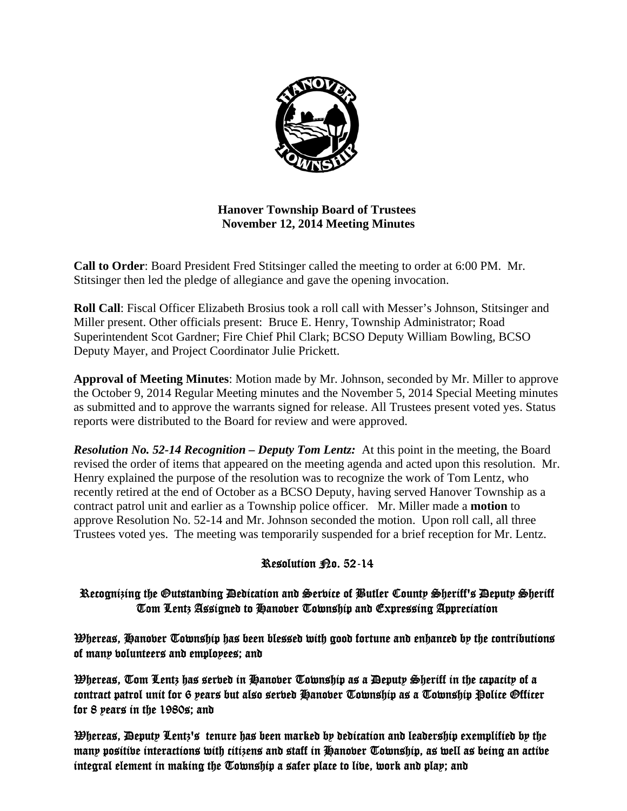

**Hanover Township Board of Trustees November 12, 2014 Meeting Minutes** 

**Call to Order**: Board President Fred Stitsinger called the meeting to order at 6:00 PM. Mr. Stitsinger then led the pledge of allegiance and gave the opening invocation.

**Roll Call**: Fiscal Officer Elizabeth Brosius took a roll call with Messer's Johnson, Stitsinger and Miller present. Other officials present: Bruce E. Henry, Township Administrator; Road Superintendent Scot Gardner; Fire Chief Phil Clark; BCSO Deputy William Bowling, BCSO Deputy Mayer, and Project Coordinator Julie Prickett.

**Approval of Meeting Minutes**: Motion made by Mr. Johnson, seconded by Mr. Miller to approve the October 9, 2014 Regular Meeting minutes and the November 5, 2014 Special Meeting minutes as submitted and to approve the warrants signed for release. All Trustees present voted yes. Status reports were distributed to the Board for review and were approved.

*Resolution No. 52-14 Recognition – Deputy Tom Lentz:* At this point in the meeting, the Board revised the order of items that appeared on the meeting agenda and acted upon this resolution. Mr. Henry explained the purpose of the resolution was to recognize the work of Tom Lentz, who recently retired at the end of October as a BCSO Deputy, having served Hanover Township as a contract patrol unit and earlier as a Township police officer. Mr. Miller made a **motion** to approve Resolution No. 52-14 and Mr. Johnson seconded the motion. Upon roll call, all three Trustees voted yes. The meeting was temporarily suspended for a brief reception for Mr. Lentz.

# Resolution Po. 52-14

# Recognizing the Outstanding Dedication and Service of Butler County Sheriff's Deputy Sheriff Tom Lentz Assigned to Hanover Township and Expressing Appreciation

 $\mathfrak B$ hereas, Hanober Township has been blessed with good fortune and enhanced by the contributions of many volunteers and employees; and

Whereas, Tom Lentz has served in Hanover Township as a Deputy Sheriff in the capacity of a contract patrol unit for 6 years but also serbed Hanober Township as a Township Police Officer for 8 years in the 1980s; and

Whereas, Deputy Lentz's tenure has been marked by dedication and leadership exemplified by the many positive interactions with citizens and staff in Hanover Township, as well as being an active integral element in making the Township a safer place to live, work and play; and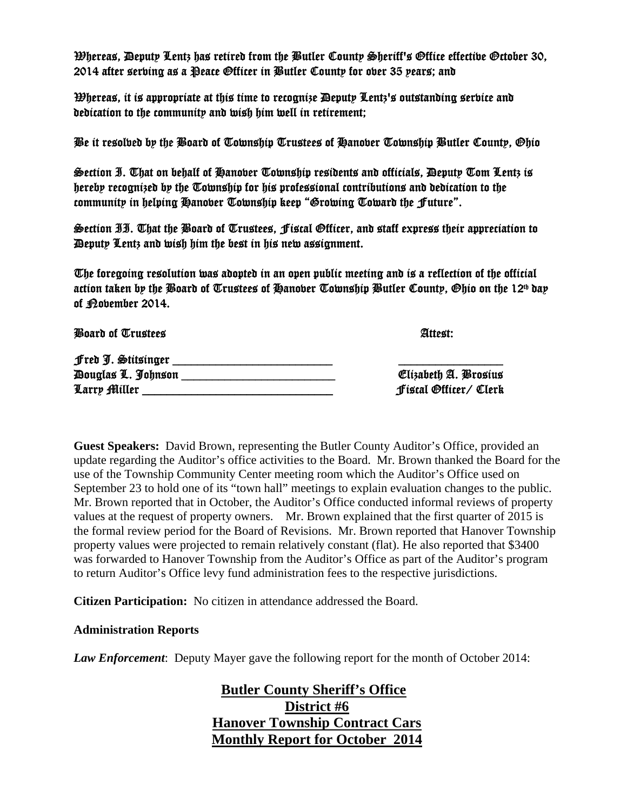Whereas, Deputy Lentz has retired from the Butler County Sheriff's Office effective October 30, 2014 after serving as a Peace Officer in Butler County for over 35 years; and

Whereas, it is appropriate at this time to recognize Deputy Lentz's outstanding service and dedication to the community and wish him well in retirement;

Be it resolved by the Board of Township Trustees of Hanover Township Butler County, Ohio

Section I. That on behalf of Hanover Township residents and officials, Deputy Tom Lentz is hereby recognized by the Township for his professional contributions and dedication to the community in helping Hanover Township keep "Growing Toward the Future".

Section II. That the Board of Trustees, Fiscal Officer, and staff express their appreciation to Deputy Lentz and wish him the best in his new assignment.

The foregoing resolution was adopted in an open public meeting and is a reflection of the official action taken by the Board of Trustees of Hanober Township Butler County, Ohio on the 12<sup>th</sup> day of **Povember 2014.** 

**Board of Trustees Attest:**  $\blacksquare$ 

| Fred J. Stitsinger               |                       |
|----------------------------------|-----------------------|
| <i><b>Douglas L. Johnson</b></i> | Clizabeth A. Brosius  |
| Larry Miller                     | fiscal Officer/ Clerk |

Elizabeth A. Brosius Larry Miller \_\_\_\_\_\_\_\_\_\_\_\_\_\_\_\_\_\_\_\_\_\_\_\_\_\_\_\_\_\_\_ Fiscal Officer/ Clerk

**Guest Speakers:** David Brown, representing the Butler County Auditor's Office, provided an update regarding the Auditor's office activities to the Board. Mr. Brown thanked the Board for the use of the Township Community Center meeting room which the Auditor's Office used on September 23 to hold one of its "town hall" meetings to explain evaluation changes to the public. Mr. Brown reported that in October, the Auditor's Office conducted informal reviews of property values at the request of property owners. Mr. Brown explained that the first quarter of 2015 is the formal review period for the Board of Revisions. Mr. Brown reported that Hanover Township property values were projected to remain relatively constant (flat). He also reported that \$3400 was forwarded to Hanover Township from the Auditor's Office as part of the Auditor's program to return Auditor's Office levy fund administration fees to the respective jurisdictions.

**Citizen Participation:** No citizen in attendance addressed the Board.

### **Administration Reports**

*Law Enforcement*: Deputy Mayer gave the following report for the month of October 2014:

 **Butler County Sheriff's Office District #6 Hanover Township Contract Cars Monthly Report for October 2014**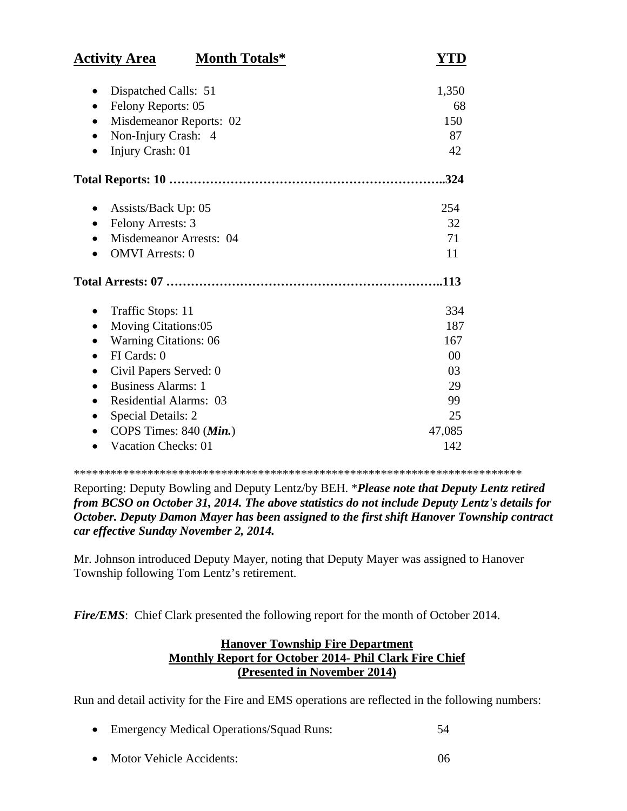| <b>Activity Area</b><br><b>Month Totals*</b> | YTD            |
|----------------------------------------------|----------------|
| Dispatched Calls: 51                         | 1,350          |
| Felony Reports: 05<br>$\bullet$              | 68             |
| Misdemeanor Reports: 02                      | 150            |
| Non-Injury Crash: 4<br>$\bullet$             | 87             |
| Injury Crash: 01                             | 42             |
|                                              | .324           |
| Assists/Back Up: 05                          | 254            |
| <b>Felony Arrests: 3</b><br>$\bullet$        | 32             |
| Misdemeanor Arrests: 04                      | 71             |
| <b>OMVI</b> Arrests: 0                       | 11             |
|                                              | .113           |
| Traffic Stops: 11                            | 334            |
| <b>Moving Citations:05</b>                   | 187            |
| <b>Warning Citations: 06</b>                 | 167            |
| FI Cards: 0                                  | 0 <sup>0</sup> |
| Civil Papers Served: 0                       | 03             |
| <b>Business Alarms: 1</b>                    | 29             |
| <b>Residential Alarms: 03</b><br>$\bullet$   | 99             |
| <b>Special Details: 2</b><br>$\bullet$       | 25             |
| COPS Times: 840 (Min.)                       | 47,085         |
| <b>Vacation Checks: 01</b>                   | 142            |

\*\*\*\*\*\*\*\*\*\*\*\*\*\*\*\*\*\*\*\*\*\*\*\*\*\*\*\*\*\*\*\*\*\*\*\*\*\*\*\*\*\*\*\*\*\*\*\*\*\*\*\*\*\*\*\*\*\*\*\*\*\*\*\*\*\*\*\*\*\*\*\*\*

Reporting: Deputy Bowling and Deputy Lentz/by BEH. \**Please note that Deputy Lentz retired from BCSO on October 31, 2014. The above statistics do not include Deputy Lentz's details for October. Deputy Damon Mayer has been assigned to the first shift Hanover Township contract car effective Sunday November 2, 2014.*

Mr. Johnson introduced Deputy Mayer, noting that Deputy Mayer was assigned to Hanover Township following Tom Lentz's retirement.

*Fire/EMS*: Chief Clark presented the following report for the month of October 2014.

# **Hanover Township Fire Department Monthly Report for October 2014- Phil Clark Fire Chief (Presented in November 2014)**

Run and detail activity for the Fire and EMS operations are reflected in the following numbers:

- Emergency Medical Operations/Squad Runs: 54
- Motor Vehicle Accidents: 06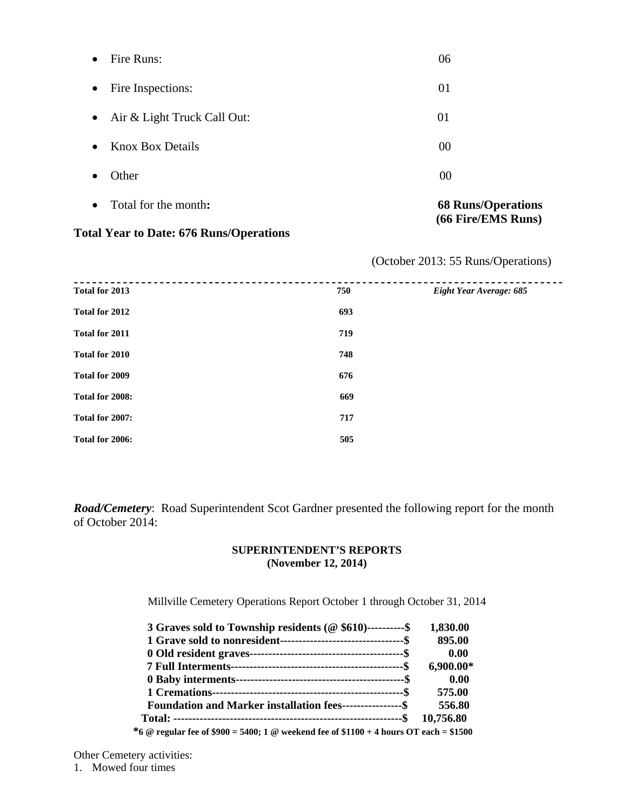| $\bullet$ | Total for the month:        | <b>68 Runs/Operations</b><br>(66 Fire/EMS Runs) |
|-----------|-----------------------------|-------------------------------------------------|
|           | Other                       | 00                                              |
| $\bullet$ | <b>Knox Box Details</b>     | 00                                              |
| $\bullet$ | Air & Light Truck Call Out: | 01                                              |
| $\bullet$ | Fire Inspections:           | 01                                              |
|           | Fire Runs:                  | 06                                              |

## **Total Year to Date: 676 Runs/Operations**

(October 2013: 55 Runs/Operations)

| Total for 2013  | 750 | Eight Year Average: 685 |
|-----------------|-----|-------------------------|
| Total for 2012  | 693 |                         |
| Total for 2011  | 719 |                         |
| Total for 2010  | 748 |                         |
| Total for 2009  | 676 |                         |
| Total for 2008: | 669 |                         |
| Total for 2007: | 717 |                         |
| Total for 2006: | 505 |                         |

*Road/Cemetery*: Road Superintendent Scot Gardner presented the following report for the month of October 2014:

### **SUPERINTENDENT'S REPORTS (November 12, 2014)**

Millville Cemetery Operations Report October 1 through October 31, 2014

| 3 Graves sold to Township residents (@ \$610)----------\$                              | 1,830.00    |
|----------------------------------------------------------------------------------------|-------------|
|                                                                                        | 895.00      |
|                                                                                        | 0.00        |
|                                                                                        | $6,900.00*$ |
|                                                                                        | 0.00        |
|                                                                                        | 575.00      |
| Foundation and Marker installation fees-----------------\$                             | 556.80      |
|                                                                                        | 10.756.80   |
| *6 @ regular fee of \$900 = 5400; 1 @ weekend fee of \$1100 + 4 hours OT each = \$1500 |             |

Other Cemetery activities:

1. Mowed four times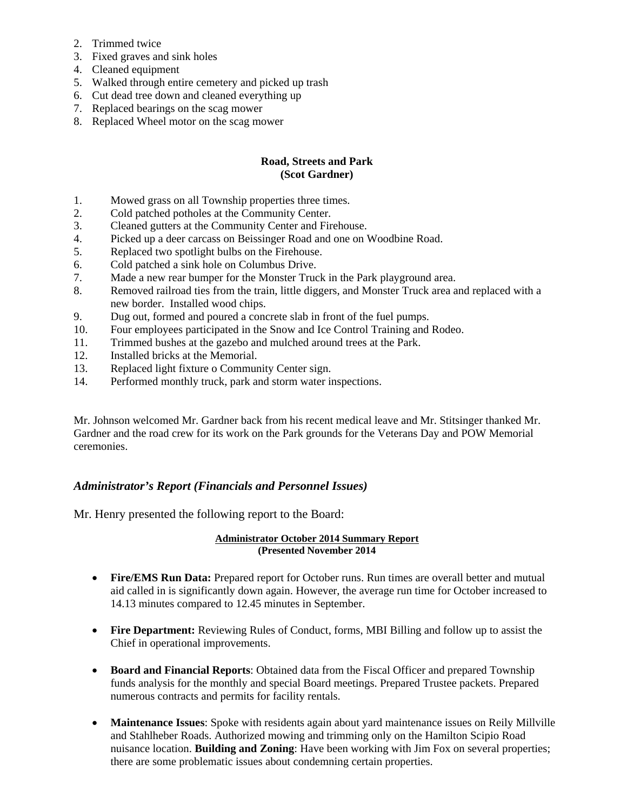- 2. Trimmed twice
- 3. Fixed graves and sink holes
- 4. Cleaned equipment
- 5. Walked through entire cemetery and picked up trash
- 6. Cut dead tree down and cleaned everything up
- 7. Replaced bearings on the scag mower
- 8. Replaced Wheel motor on the scag mower

### **Road, Streets and Park (Scot Gardner)**

- 1. Mowed grass on all Township properties three times.
- 2. Cold patched potholes at the Community Center.
- 3. Cleaned gutters at the Community Center and Firehouse.
- 4. Picked up a deer carcass on Beissinger Road and one on Woodbine Road.
- 5. Replaced two spotlight bulbs on the Firehouse.
- 6. Cold patched a sink hole on Columbus Drive.
- 7. Made a new rear bumper for the Monster Truck in the Park playground area.
- 8. Removed railroad ties from the train, little diggers, and Monster Truck area and replaced with a new border. Installed wood chips.
- 9. Dug out, formed and poured a concrete slab in front of the fuel pumps.
- 10. Four employees participated in the Snow and Ice Control Training and Rodeo.
- 11. Trimmed bushes at the gazebo and mulched around trees at the Park.
- 12. Installed bricks at the Memorial.
- 13. Replaced light fixture o Community Center sign.
- 14. Performed monthly truck, park and storm water inspections.

Mr. Johnson welcomed Mr. Gardner back from his recent medical leave and Mr. Stitsinger thanked Mr. Gardner and the road crew for its work on the Park grounds for the Veterans Day and POW Memorial ceremonies.

### *Administrator's Report (Financials and Personnel Issues)*

Mr. Henry presented the following report to the Board:

#### **Administrator October 2014 Summary Report (Presented November 2014**

- **Fire/EMS Run Data:** Prepared report for October runs. Run times are overall better and mutual aid called in is significantly down again. However, the average run time for October increased to 14.13 minutes compared to 12.45 minutes in September.
- **Fire Department:** Reviewing Rules of Conduct, forms, MBI Billing and follow up to assist the Chief in operational improvements.
- **Board and Financial Reports**: Obtained data from the Fiscal Officer and prepared Township funds analysis for the monthly and special Board meetings. Prepared Trustee packets. Prepared numerous contracts and permits for facility rentals.
- **Maintenance Issues**: Spoke with residents again about yard maintenance issues on Reily Millville and Stahlheber Roads. Authorized mowing and trimming only on the Hamilton Scipio Road nuisance location. **Building and Zoning**: Have been working with Jim Fox on several properties; there are some problematic issues about condemning certain properties.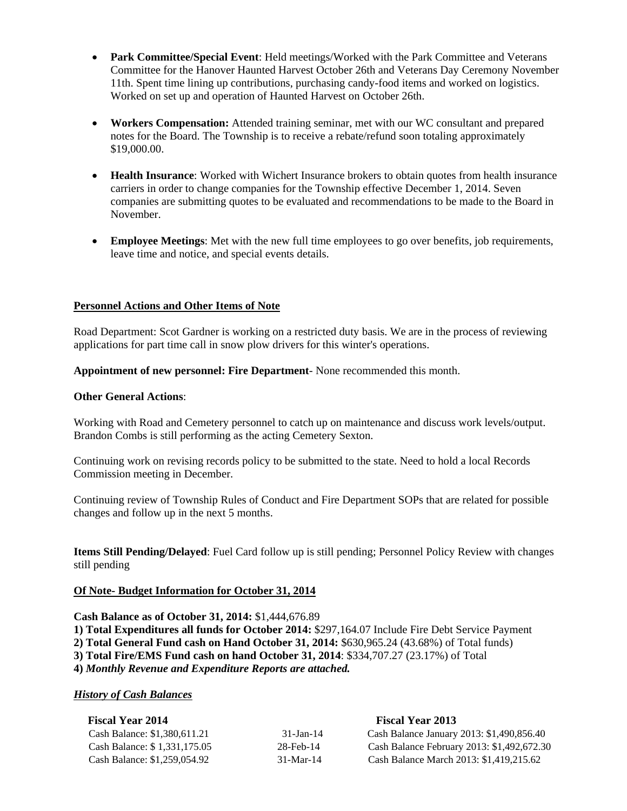- **Park Committee/Special Event**: Held meetings/Worked with the Park Committee and Veterans Committee for the Hanover Haunted Harvest October 26th and Veterans Day Ceremony November 11th. Spent time lining up contributions, purchasing candy-food items and worked on logistics. Worked on set up and operation of Haunted Harvest on October 26th.
- **Workers Compensation:** Attended training seminar, met with our WC consultant and prepared notes for the Board. The Township is to receive a rebate/refund soon totaling approximately \$19,000.00.
- **Health Insurance**: Worked with Wichert Insurance brokers to obtain quotes from health insurance carriers in order to change companies for the Township effective December 1, 2014. Seven companies are submitting quotes to be evaluated and recommendations to be made to the Board in November.
- **Employee Meetings**: Met with the new full time employees to go over benefits, job requirements, leave time and notice, and special events details.

#### **Personnel Actions and Other Items of Note**

Road Department: Scot Gardner is working on a restricted duty basis. We are in the process of reviewing applications for part time call in snow plow drivers for this winter's operations.

**Appointment of new personnel: Fire Department**- None recommended this month.

#### **Other General Actions**:

Working with Road and Cemetery personnel to catch up on maintenance and discuss work levels/output. Brandon Combs is still performing as the acting Cemetery Sexton.

Continuing work on revising records policy to be submitted to the state. Need to hold a local Records Commission meeting in December.

Continuing review of Township Rules of Conduct and Fire Department SOPs that are related for possible changes and follow up in the next 5 months.

**Items Still Pending/Delayed**: Fuel Card follow up is still pending; Personnel Policy Review with changes still pending

#### **Of Note- Budget Information for October 31, 2014**

**Cash Balance as of October 31, 2014:** \$1,444,676.89

- **1) Total Expenditures all funds for October 2014:** \$297,164.07 Include Fire Debt Service Payment
- **2) Total General Fund cash on Hand October 31, 2014:** \$630,965.24 (43.68%) of Total funds)
- **3) Total Fire/EMS Fund cash on hand October 31, 2014**: \$334,707.27 (23.17%) of Total

**4)** *Monthly Revenue and Expenditure Reports are attached.* 

#### *History of Cash Balances*

| <b>Fiscal Year 2014</b>      | <b>Fiscal Year 2013</b> |                                            |  |
|------------------------------|-------------------------|--------------------------------------------|--|
| Cash Balance: \$1,380,611.21 | 31-Jan-14               | Cash Balance January 2013: \$1,490,856.40  |  |
| Cash Balance: \$1,331,175.05 | 28-Feb-14               | Cash Balance February 2013: \$1,492,672.30 |  |
| Cash Balance: \$1,259,054.92 | $31-Mar-14$             | Cash Balance March 2013: \$1,419,215.62    |  |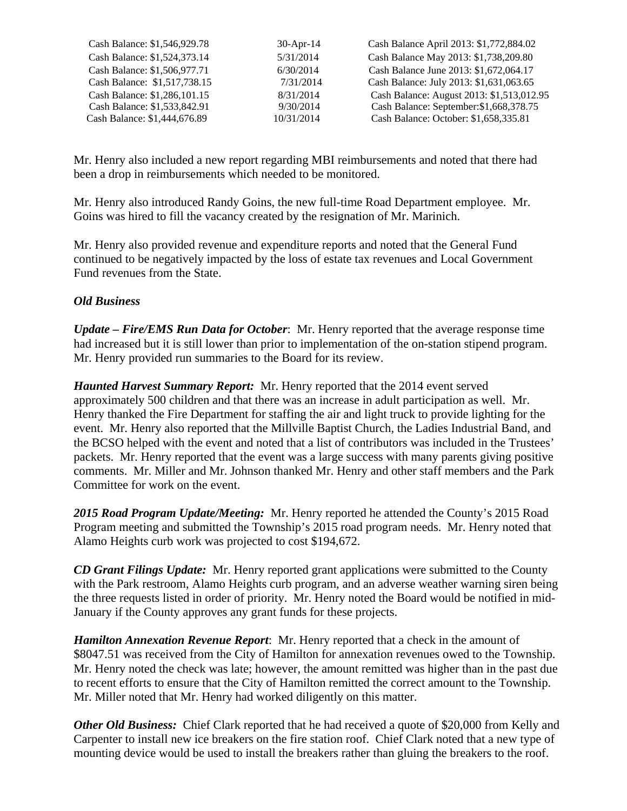| Cash Balance: \$1,546,929.78 | $30-Apr-14$ | Cash Balance April 2013: \$1,772,884.02   |
|------------------------------|-------------|-------------------------------------------|
| Cash Balance: \$1,524,373.14 | 5/31/2014   | Cash Balance May 2013: \$1,738,209.80     |
| Cash Balance: \$1,506,977.71 | 6/30/2014   | Cash Balance June 2013: \$1,672,064.17    |
| Cash Balance: \$1,517,738.15 | 7/31/2014   | Cash Balance: July 2013: \$1,631,063.65   |
| Cash Balance: \$1,286,101.15 | 8/31/2014   | Cash Balance: August 2013: \$1,513,012.95 |
| Cash Balance: \$1,533,842.91 | 9/30/2014   | Cash Balance: September: \$1,668,378.75   |
| Cash Balance: \$1,444,676.89 | 10/31/2014  | Cash Balance: October: \$1,658,335.81     |

Mr. Henry also included a new report regarding MBI reimbursements and noted that there had been a drop in reimbursements which needed to be monitored.

Mr. Henry also introduced Randy Goins, the new full-time Road Department employee. Mr. Goins was hired to fill the vacancy created by the resignation of Mr. Marinich.

Mr. Henry also provided revenue and expenditure reports and noted that the General Fund continued to be negatively impacted by the loss of estate tax revenues and Local Government Fund revenues from the State.

## *Old Business*

*Update – Fire/EMS Run Data for October*: Mr. Henry reported that the average response time had increased but it is still lower than prior to implementation of the on-station stipend program. Mr. Henry provided run summaries to the Board for its review.

*Haunted Harvest Summary Report:* Mr. Henry reported that the 2014 event served approximately 500 children and that there was an increase in adult participation as well. Mr. Henry thanked the Fire Department for staffing the air and light truck to provide lighting for the event. Mr. Henry also reported that the Millville Baptist Church, the Ladies Industrial Band, and the BCSO helped with the event and noted that a list of contributors was included in the Trustees' packets. Mr. Henry reported that the event was a large success with many parents giving positive comments. Mr. Miller and Mr. Johnson thanked Mr. Henry and other staff members and the Park Committee for work on the event.

*2015 Road Program Update/Meeting:* Mr. Henry reported he attended the County's 2015 Road Program meeting and submitted the Township's 2015 road program needs. Mr. Henry noted that Alamo Heights curb work was projected to cost \$194,672.

*CD Grant Filings Update:* Mr. Henry reported grant applications were submitted to the County with the Park restroom, Alamo Heights curb program, and an adverse weather warning siren being the three requests listed in order of priority. Mr. Henry noted the Board would be notified in mid-January if the County approves any grant funds for these projects.

*Hamilton Annexation Revenue Report*: Mr. Henry reported that a check in the amount of \$8047.51 was received from the City of Hamilton for annexation revenues owed to the Township. Mr. Henry noted the check was late; however, the amount remitted was higher than in the past due to recent efforts to ensure that the City of Hamilton remitted the correct amount to the Township. Mr. Miller noted that Mr. Henry had worked diligently on this matter.

*Other Old Business:* Chief Clark reported that he had received a quote of \$20,000 from Kelly and Carpenter to install new ice breakers on the fire station roof. Chief Clark noted that a new type of mounting device would be used to install the breakers rather than gluing the breakers to the roof.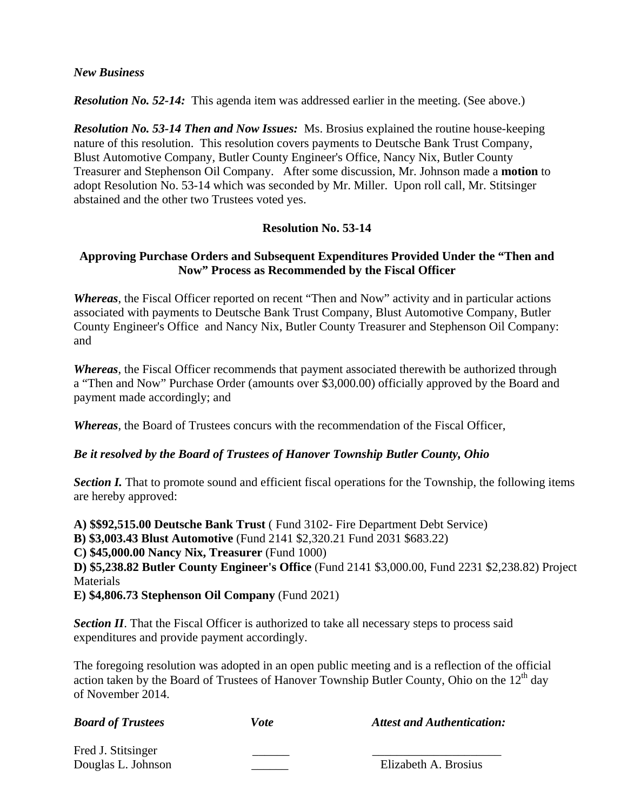### *New Business*

**Resolution No. 52-14:** This agenda item was addressed earlier in the meeting. (See above.)

*Resolution No. 53-14 Then and Now Issues:* Ms. Brosius explained the routine house-keeping nature of this resolution. This resolution covers payments to Deutsche Bank Trust Company, Blust Automotive Company, Butler County Engineer's Office, Nancy Nix, Butler County Treasurer and Stephenson Oil Company. After some discussion, Mr. Johnson made a **motion** to adopt Resolution No. 53-14 which was seconded by Mr. Miller. Upon roll call, Mr. Stitsinger abstained and the other two Trustees voted yes.

## **Resolution No. 53-14**

# **Approving Purchase Orders and Subsequent Expenditures Provided Under the "Then and Now" Process as Recommended by the Fiscal Officer**

*Whereas*, the Fiscal Officer reported on recent "Then and Now" activity and in particular actions associated with payments to Deutsche Bank Trust Company, Blust Automotive Company, Butler County Engineer's Office and Nancy Nix, Butler County Treasurer and Stephenson Oil Company: and

*Whereas*, the Fiscal Officer recommends that payment associated therewith be authorized through a "Then and Now" Purchase Order (amounts over \$3,000.00) officially approved by the Board and payment made accordingly; and

*Whereas*, the Board of Trustees concurs with the recommendation of the Fiscal Officer,

# *Be it resolved by the Board of Trustees of Hanover Township Butler County, Ohio*

*Section I.* That to promote sound and efficient fiscal operations for the Township, the following items are hereby approved:

**A) \$\$92,515.00 Deutsche Bank Trust** ( Fund 3102- Fire Department Debt Service)

**B) \$3,003.43 Blust Automotive** (Fund 2141 \$2,320.21 Fund 2031 \$683.22)

**C) \$45,000.00 Nancy Nix, Treasurer** (Fund 1000)

**D) \$5,238.82 Butler County Engineer's Office** (Fund 2141 \$3,000.00, Fund 2231 \$2,238.82) Project **Materials** 

**E) \$4,806.73 Stephenson Oil Company** (Fund 2021)

**Section II**. That the Fiscal Officer is authorized to take all necessary steps to process said expenditures and provide payment accordingly.

The foregoing resolution was adopted in an open public meeting and is a reflection of the official action taken by the Board of Trustees of Hanover Township Butler County, Ohio on the  $12<sup>th</sup>$  day of November 2014.

| <b>Board of Trustees</b> | Vote | <b>Attest and Authentication:</b> |
|--------------------------|------|-----------------------------------|
| Fred J. Stitsinger       |      |                                   |
| Douglas L. Johnson       |      | Elizabeth A. Brosius              |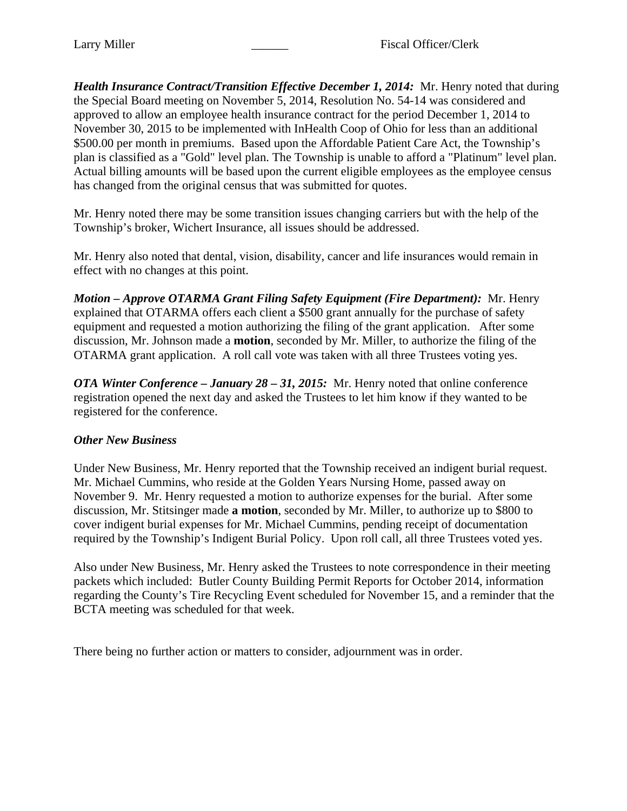*Health Insurance Contract/Transition Effective December 1, 2014:* Mr. Henry noted that during the Special Board meeting on November 5, 2014, Resolution No. 54-14 was considered and approved to allow an employee health insurance contract for the period December 1, 2014 to November 30, 2015 to be implemented with InHealth Coop of Ohio for less than an additional \$500.00 per month in premiums. Based upon the Affordable Patient Care Act, the Township's plan is classified as a "Gold" level plan. The Township is unable to afford a "Platinum" level plan. Actual billing amounts will be based upon the current eligible employees as the employee census has changed from the original census that was submitted for quotes.

Mr. Henry noted there may be some transition issues changing carriers but with the help of the Township's broker, Wichert Insurance, all issues should be addressed.

Mr. Henry also noted that dental, vision, disability, cancer and life insurances would remain in effect with no changes at this point.

*Motion – Approve OTARMA Grant Filing Safety Equipment (Fire Department):* Mr. Henry explained that OTARMA offers each client a \$500 grant annually for the purchase of safety equipment and requested a motion authorizing the filing of the grant application. After some discussion, Mr. Johnson made a **motion**, seconded by Mr. Miller, to authorize the filing of the OTARMA grant application. A roll call vote was taken with all three Trustees voting yes.

*OTA Winter Conference – January 28 – 31, 2015:* Mr. Henry noted that online conference registration opened the next day and asked the Trustees to let him know if they wanted to be registered for the conference.

# *Other New Business*

Under New Business, Mr. Henry reported that the Township received an indigent burial request. Mr. Michael Cummins, who reside at the Golden Years Nursing Home, passed away on November 9. Mr. Henry requested a motion to authorize expenses for the burial. After some discussion, Mr. Stitsinger made **a motion**, seconded by Mr. Miller, to authorize up to \$800 to cover indigent burial expenses for Mr. Michael Cummins, pending receipt of documentation required by the Township's Indigent Burial Policy. Upon roll call, all three Trustees voted yes.

Also under New Business, Mr. Henry asked the Trustees to note correspondence in their meeting packets which included: Butler County Building Permit Reports for October 2014, information regarding the County's Tire Recycling Event scheduled for November 15, and a reminder that the BCTA meeting was scheduled for that week.

There being no further action or matters to consider, adjournment was in order.